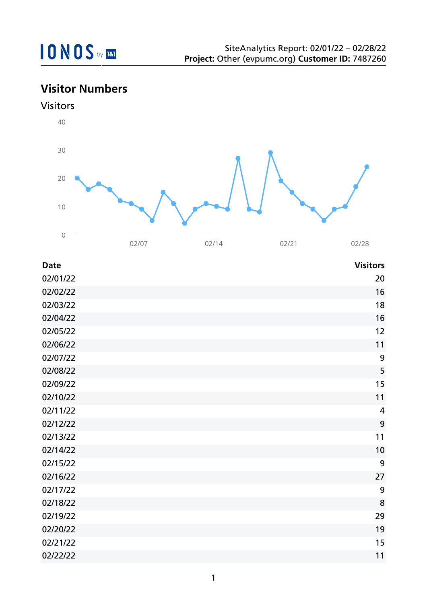## **Visitor Numbers**





| <b>Date</b> | <b>Visitors</b> |
|-------------|-----------------|
| 02/01/22    | 20              |
| 02/02/22    | 16              |
| 02/03/22    | 18              |
| 02/04/22    | 16              |
| 02/05/22    | 12              |
| 02/06/22    | 11              |
| 02/07/22    | 9               |
| 02/08/22    | 5               |
| 02/09/22    | 15              |
| 02/10/22    | 11              |
| 02/11/22    | $\overline{4}$  |
| 02/12/22    | 9               |
| 02/13/22    | 11              |
| 02/14/22    | 10              |
| 02/15/22    | 9               |
| 02/16/22    | 27              |
| 02/17/22    | 9               |
| 02/18/22    | 8               |
| 02/19/22    | 29              |
| 02/20/22    | 19              |
| 02/21/22    | 15              |
| 02/22/22    | 11              |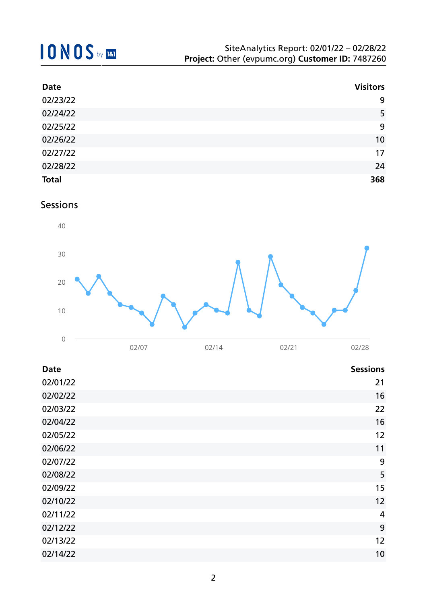| <b>Date</b>  | <b>Visitors</b> |
|--------------|-----------------|
| 02/23/22     | 9               |
| 02/24/22     | 5               |
| 02/25/22     | 9               |
| 02/26/22     | 10              |
| 02/27/22     | 17              |
| 02/28/22     | 24              |
| <b>Total</b> | 368             |

Sessions



| <b>Date</b> | <b>Sessions</b> |
|-------------|-----------------|
| 02/01/22    | 21              |
| 02/02/22    | 16              |
| 02/03/22    | 22              |
| 02/04/22    | 16              |
| 02/05/22    | 12              |
| 02/06/22    | 11              |
| 02/07/22    | 9               |
| 02/08/22    | 5               |
| 02/09/22    | 15              |
| 02/10/22    | 12              |
| 02/11/22    | $\overline{4}$  |
| 02/12/22    | 9               |
| 02/13/22    | 12              |
| 02/14/22    | 10              |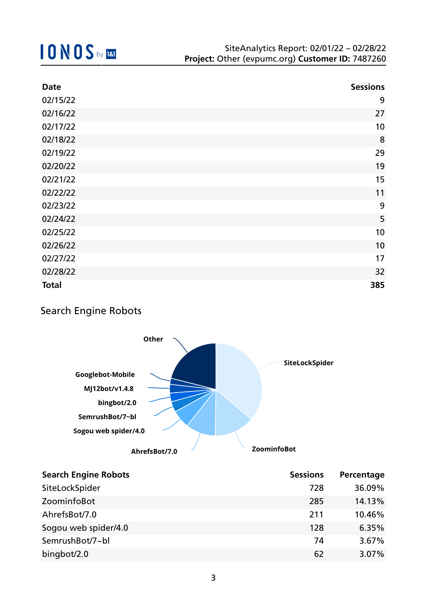| <b>Date</b>  | <b>Sessions</b> |
|--------------|-----------------|
| 02/15/22     | 9               |
| 02/16/22     | 27              |
| 02/17/22     | 10              |
| 02/18/22     | 8               |
| 02/19/22     | 29              |
| 02/20/22     | 19              |
| 02/21/22     | 15              |
| 02/22/22     | 11              |
| 02/23/22     | 9               |
| 02/24/22     | 5               |
| 02/25/22     | 10              |
| 02/26/22     | 10              |
| 02/27/22     | 17              |
| 02/28/22     | 32              |
| <b>Total</b> | 385             |

### Search Engine Robots



| <b>Search Engine Robots</b> | <b>Sessions</b> | Percentage |
|-----------------------------|-----------------|------------|
| SiteLockSpider              | 728             | 36.09%     |
| ZoominfoBot                 | 285             | 14.13%     |
| AhrefsBot/7.0               | 211             | 10.46%     |
| Sogou web spider/4.0        | 128             | 6.35%      |
| SemrushBot/7~bl             | 74              | 3.67%      |
| bingbot/2.0                 | 62              | 3.07%      |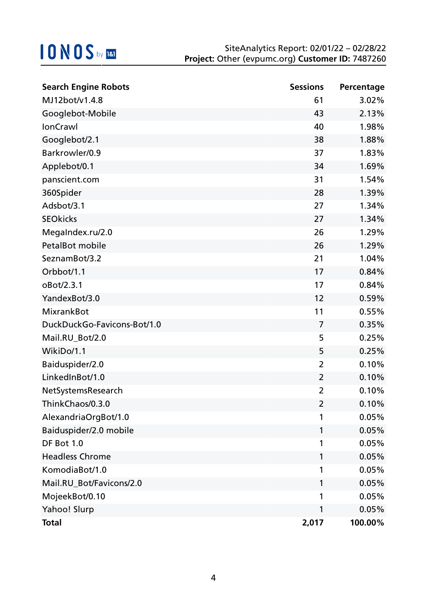| <b>Search Engine Robots</b> | <b>Sessions</b> | Percentage |
|-----------------------------|-----------------|------------|
| MJ12bot/v1.4.8              | 61              | 3.02%      |
| Googlebot-Mobile            | 43              | 2.13%      |
| <b>IonCrawl</b>             | 40              | 1.98%      |
| Googlebot/2.1               | 38              | 1.88%      |
| Barkrowler/0.9              | 37              | 1.83%      |
| Applebot/0.1                | 34              | 1.69%      |
| panscient.com               | 31              | 1.54%      |
| 360Spider                   | 28              | 1.39%      |
| Adsbot/3.1                  | 27              | 1.34%      |
| <b>SEOkicks</b>             | 27              | 1.34%      |
| MegaIndex.ru/2.0            | 26              | 1.29%      |
| PetalBot mobile             | 26              | 1.29%      |
| SeznamBot/3.2               | 21              | 1.04%      |
| Orbbot/1.1                  | 17              | 0.84%      |
| oBot/2.3.1                  | 17              | 0.84%      |
| YandexBot/3.0               | 12              | 0.59%      |
| <b>MixrankBot</b>           | 11              | 0.55%      |
| DuckDuckGo-Favicons-Bot/1.0 | 7               | 0.35%      |
| Mail.RU_Bot/2.0             | 5               | 0.25%      |
| WikiDo/1.1                  | 5               | 0.25%      |
| Baiduspider/2.0             | $\overline{2}$  | 0.10%      |
| LinkedInBot/1.0             | $\overline{2}$  | 0.10%      |
| NetSystemsResearch          | 2               | 0.10%      |
| ThinkChaos/0.3.0            | 2               | 0.10%      |
| AlexandriaOrgBot/1.0        | 1               | 0.05%      |
| Baiduspider/2.0 mobile      | 1               | 0.05%      |
| DF Bot 1.0                  | 1               | 0.05%      |
| <b>Headless Chrome</b>      | 1               | 0.05%      |
| KomodiaBot/1.0              | 1               | 0.05%      |
| Mail.RU_Bot/Favicons/2.0    | 1               | 0.05%      |
| MojeekBot/0.10              | 1               | 0.05%      |
| Yahoo! Slurp                | 1               | 0.05%      |
| <b>Total</b>                | 2,017           | 100.00%    |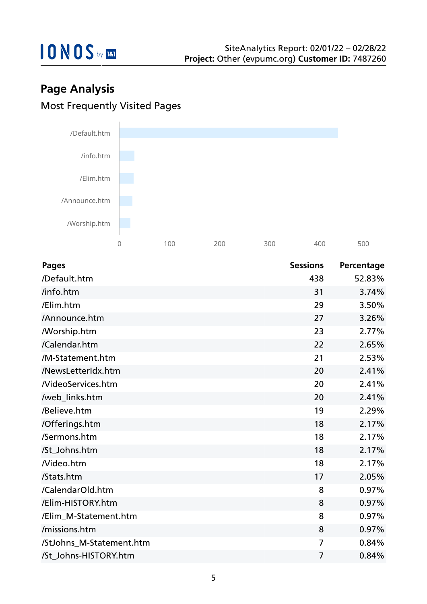

## **Page Analysis** Most Frequently Visited Pages



| <b>Pages</b>             | <b>Sessions</b> | Percentage |
|--------------------------|-----------------|------------|
| /Default.htm             | 438             | 52.83%     |
| /info.htm                | 31              | 3.74%      |
| /Elim.htm                | 29              | 3.50%      |
| /Announce.htm            | 27              | 3.26%      |
| /Worship.htm             | 23              | 2.77%      |
| /Calendar.htm            | 22              | 2.65%      |
| /M-Statement.htm         | 21              | 2.53%      |
| /NewsLetterIdx.htm       | 20              | 2.41%      |
| <b>NideoServices.htm</b> | 20              | 2.41%      |
| /web_links.htm           | 20              | 2.41%      |
| /Believe.htm             | 19              | 2.29%      |
| /Offerings.htm           | 18              | 2.17%      |
| /Sermons.htm             | 18              | 2.17%      |
| /St_Johns.htm            | 18              | 2.17%      |
| Nideo.htm                | 18              | 2.17%      |
| /Stats.htm               | 17              | 2.05%      |
| /CalendarOld.htm         | 8               | 0.97%      |
| /Elim-HISTORY.htm        | 8               | 0.97%      |
| /Elim_M-Statement.htm    | 8               | 0.97%      |
| /missions.htm            | 8               | 0.97%      |
| /StJohns_M-Statement.htm | $\overline{7}$  | 0.84%      |
| /St Johns-HISTORY.htm    | $\overline{7}$  | 0.84%      |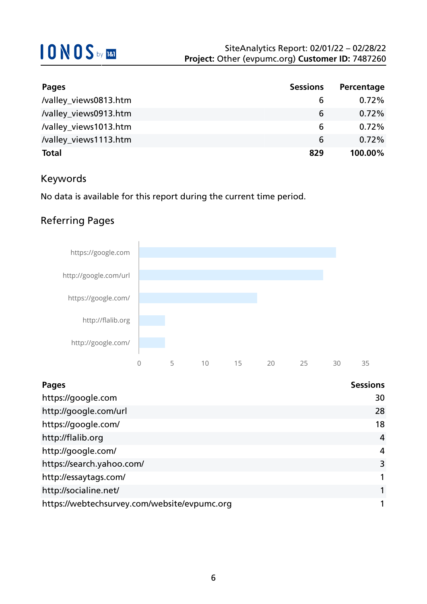| Pages                 | <b>Sessions</b> | Percentage |
|-----------------------|-----------------|------------|
| /valley_views0813.htm | 6               | $0.72\%$   |
| /valley_views0913.htm | 6               | $0.72\%$   |
| /valley_views1013.htm | 6               | $0.72\%$   |
| /valley_views1113.htm | 6               | $0.72\%$   |
| <b>Total</b>          | 829             | 100.00%    |

### Keywords

No data is available for this report during the current time period.

### Referring Pages



| Pages                                        | <b>Sessions</b> |
|----------------------------------------------|-----------------|
| https://google.com                           | 30              |
| http://google.com/url                        | 28              |
| https://google.com/                          | 18              |
| http://flalib.org                            | $\overline{4}$  |
| http://google.com/                           | 4               |
| https://search.yahoo.com/                    | 3               |
| http://essaytags.com/                        | 1               |
| http://socialine.net/                        |                 |
| https://webtechsurvey.com/website/evpumc.org |                 |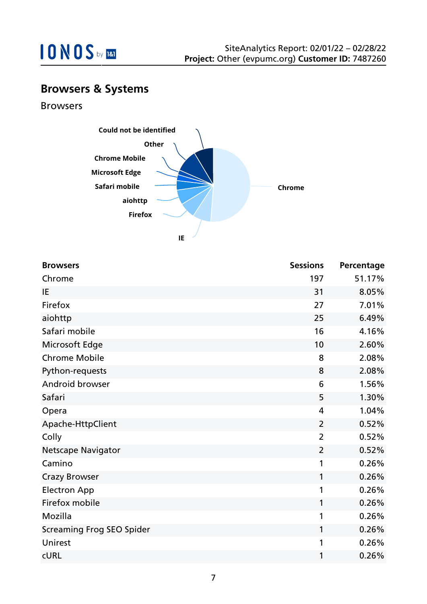

### **Browsers & Systems**

Browsers



| <b>Browsers</b>                  | <b>Sessions</b> | Percentage |
|----------------------------------|-----------------|------------|
| Chrome                           | 197             | 51.17%     |
| IE                               | 31              | 8.05%      |
| Firefox                          | 27              | 7.01%      |
| aiohttp                          | 25              | 6.49%      |
| Safari mobile                    | 16              | 4.16%      |
| Microsoft Edge                   | 10              | 2.60%      |
| <b>Chrome Mobile</b>             | 8               | 2.08%      |
| Python-requests                  | 8               | 2.08%      |
| Android browser                  | 6               | 1.56%      |
| Safari                           | 5               | 1.30%      |
| Opera                            | 4               | 1.04%      |
| Apache-HttpClient                | $\overline{2}$  | 0.52%      |
| Colly                            | $\overline{2}$  | 0.52%      |
| <b>Netscape Navigator</b>        | $\overline{2}$  | 0.52%      |
| Camino                           | 1               | 0.26%      |
| <b>Crazy Browser</b>             | 1               | 0.26%      |
| <b>Electron App</b>              | 1               | 0.26%      |
| Firefox mobile                   | 1               | 0.26%      |
| Mozilla                          | 1               | 0.26%      |
| <b>Screaming Frog SEO Spider</b> | 1               | 0.26%      |
| Unirest                          | 1               | 0.26%      |
| <b>CURL</b>                      | 1               | 0.26%      |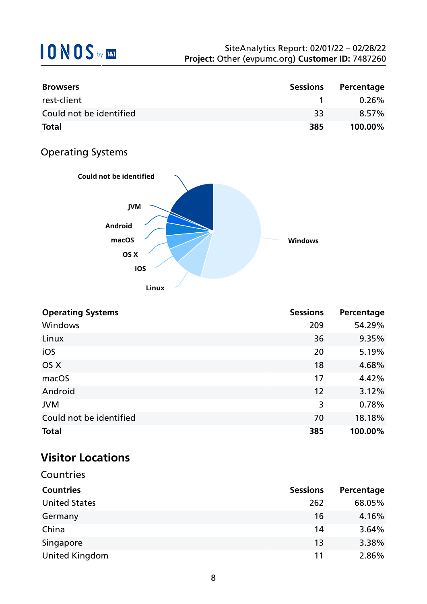| <b>Browsers</b>         | <b>Sessions</b> | Percentage |
|-------------------------|-----------------|------------|
| rest-client             |                 | $0.26\%$   |
| Could not be identified | 33              | 8.57%      |
| <b>Total</b>            | 385             | 100.00%    |

### Operating Systems



| <b>Operating Systems</b> | <b>Sessions</b> | Percentage |
|--------------------------|-----------------|------------|
| Windows                  | 209             | 54.29%     |
| Linux                    | 36              | 9.35%      |
| iOS                      | 20              | 5.19%      |
| OS X                     | 18              | 4.68%      |
| macOS                    | 17              | 4.42%      |
| Android                  | 12              | 3.12%      |
| <b>JVM</b>               | 3               | 0.78%      |
| Could not be identified  | 70              | 18.18%     |
| <b>Total</b>             | 385             | 100.00%    |

## **Visitor Locations**

| Countries             |                 |            |
|-----------------------|-----------------|------------|
| <b>Countries</b>      | <b>Sessions</b> | Percentage |
| <b>United States</b>  | 262             | 68.05%     |
| Germany               | 16              | 4.16%      |
| China                 | 14              | 3.64%      |
| Singapore             | 13              | 3.38%      |
| <b>United Kingdom</b> | 11              | 2.86%      |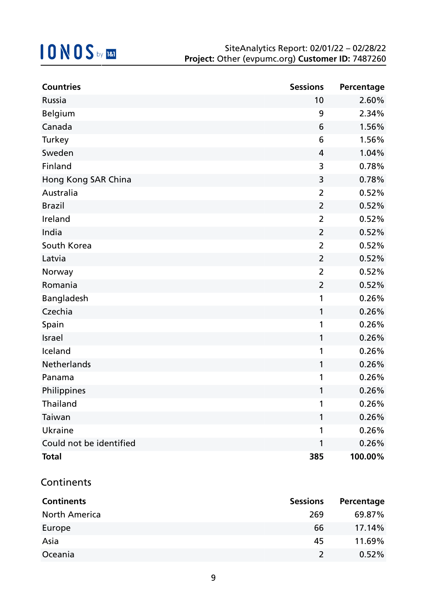| <b>Countries</b>        | <b>Sessions</b> | Percentage |
|-------------------------|-----------------|------------|
| Russia                  | 10              | 2.60%      |
| Belgium                 | 9               | 2.34%      |
| Canada                  | 6               | 1.56%      |
| Turkey                  | 6               | 1.56%      |
| Sweden                  | 4               | 1.04%      |
| Finland                 | 3               | 0.78%      |
| Hong Kong SAR China     | 3               | 0.78%      |
| Australia               | $\overline{2}$  | 0.52%      |
| <b>Brazil</b>           | $\overline{2}$  | 0.52%      |
| Ireland                 | $\overline{2}$  | 0.52%      |
| India                   | $\overline{2}$  | 0.52%      |
| South Korea             | $\overline{2}$  | 0.52%      |
| Latvia                  | $\overline{2}$  | 0.52%      |
| Norway                  | $\overline{2}$  | 0.52%      |
| Romania                 | $\overline{2}$  | 0.52%      |
| Bangladesh              | 1               | 0.26%      |
| Czechia                 | 1               | 0.26%      |
| Spain                   | 1               | 0.26%      |
| Israel                  | 1               | 0.26%      |
| Iceland                 | 1               | 0.26%      |
| Netherlands             | 1               | 0.26%      |
| Panama                  | 1               | 0.26%      |
| Philippines             | 1               | 0.26%      |
| Thailand                |                 | 0.26%      |
| Taiwan                  | 1               | 0.26%      |
| <b>Ukraine</b>          | 1               | 0.26%      |
| Could not be identified | 1               | 0.26%      |
| <b>Total</b>            | 385             | 100.00%    |

#### **Continents**

| <b>Continents</b>    | <b>Sessions</b> | Percentage |
|----------------------|-----------------|------------|
| <b>North America</b> | 269             | 69.87%     |
| Europe               | 66              | 17.14%     |
| Asia                 | 45              | 11.69%     |
| Oceania              | $\mathcal{L}$   | 0.52%      |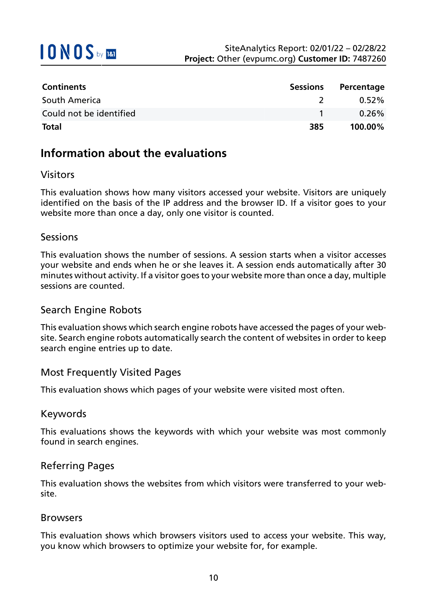

| <b>Continents</b>       | Sessions      | Percentage |
|-------------------------|---------------|------------|
| South America           | $\mathcal{L}$ | $0.52\%$   |
| Could not be identified |               | $0.26\%$   |
| <b>Total</b>            | 385           | $100.00\%$ |

### **Information about the evaluations**

#### Visitors

This evaluation shows how many visitors accessed your website. Visitors are uniquely identified on the basis of the IP address and the browser ID. If a visitor goes to your website more than once a day, only one visitor is counted.

#### **Sessions**

This evaluation shows the number of sessions. A session starts when a visitor accesses your website and ends when he or she leaves it. A session ends automatically after 30 minutes without activity. If a visitor goes to your website more than once a day, multiple sessions are counted.

#### Search Engine Robots

This evaluation shows which search engine robots have accessed the pages of your website. Search engine robots automatically search the content of websites in order to keep search engine entries up to date.

#### Most Frequently Visited Pages

This evaluation shows which pages of your website were visited most often.

#### Keywords

This evaluations shows the keywords with which your website was most commonly found in search engines.

#### Referring Pages

This evaluation shows the websites from which visitors were transferred to your website.

#### Browsers

This evaluation shows which browsers visitors used to access your website. This way, you know which browsers to optimize your website for, for example.